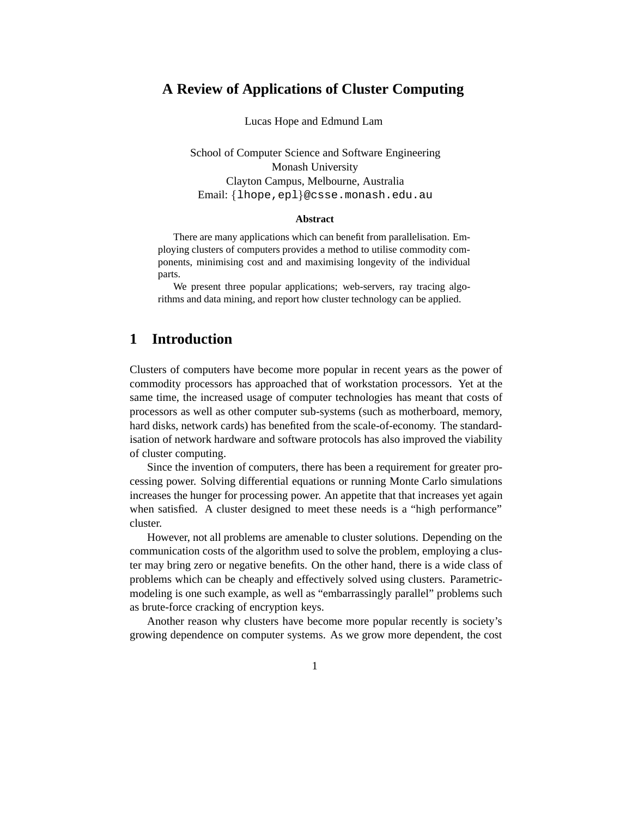### **A Review of Applications of Cluster Computing**

Lucas Hope and Edmund Lam

School of Computer Science and Software Engineering Monash University Clayton Campus, Melbourne, Australia Email: {lhope, epl}@csse.monash.edu.au

#### **Abstract**

There are many applications which can benefit from parallelisation. Employing clusters of computers provides a method to utilise commodity components, minimising cost and and maximising longevity of the individual parts.

We present three popular applications; web-servers, ray tracing algorithms and data mining, and report how cluster technology can be applied.

### **1 Introduction**

Clusters of computers have become more popular in recent years as the power of commodity processors has approached that of workstation processors. Yet at the same time, the increased usage of computer technologies has meant that costs of processors as well as other computer sub-systems (such as motherboard, memory, hard disks, network cards) has benefited from the scale-of-economy. The standardisation of network hardware and software protocols has also improved the viability of cluster computing.

Since the invention of computers, there has been a requirement for greater processing power. Solving differential equations or running Monte Carlo simulations increases the hunger for processing power. An appetite that that increases yet again when satisfied. A cluster designed to meet these needs is a "high performance" cluster.

However, not all problems are amenable to cluster solutions. Depending on the communication costs of the algorithm used to solve the problem, employing a cluster may bring zero or negative benefits. On the other hand, there is a wide class of problems which can be cheaply and effectively solved using clusters. Parametricmodeling is one such example, as well as "embarrassingly parallel" problems such as brute-force cracking of encryption keys.

Another reason why clusters have become more popular recently is society's growing dependence on computer systems. As we grow more dependent, the cost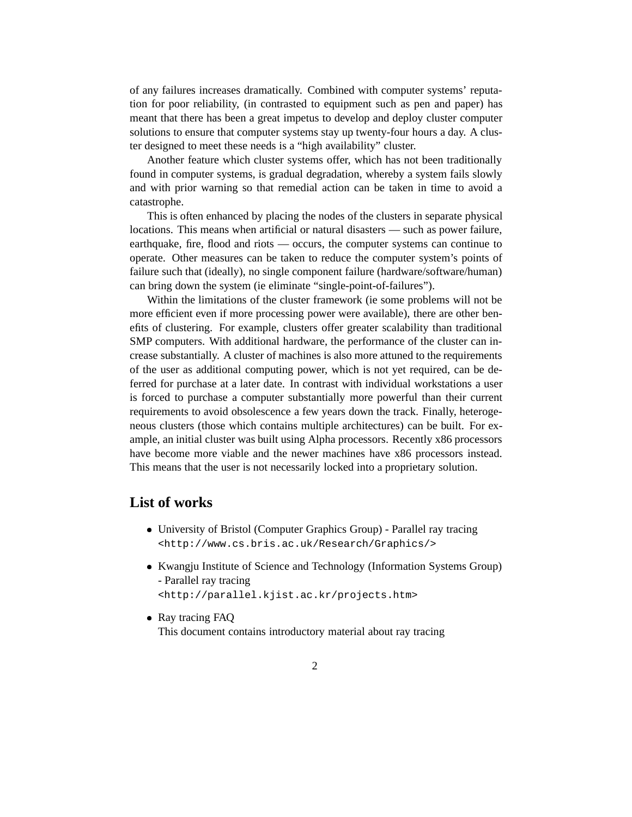of any failures increases dramatically. Combined with computer systems' reputation for poor reliability, (in contrasted to equipment such as pen and paper) has meant that there has been a great impetus to develop and deploy cluster computer solutions to ensure that computer systems stay up twenty-four hours a day. A cluster designed to meet these needs is a "high availability" cluster.

Another feature which cluster systems offer, which has not been traditionally found in computer systems, is gradual degradation, whereby a system fails slowly and with prior warning so that remedial action can be taken in time to avoid a catastrophe.

This is often enhanced by placing the nodes of the clusters in separate physical locations. This means when artificial or natural disasters — such as power failure, earthquake, fire, flood and riots — occurs, the computer systems can continue to operate. Other measures can be taken to reduce the computer system's points of failure such that (ideally), no single component failure (hardware/software/human) can bring down the system (ie eliminate "single-point-of-failures").

Within the limitations of the cluster framework (ie some problems will not be more efficient even if more processing power were available), there are other benefits of clustering. For example, clusters offer greater scalability than traditional SMP computers. With additional hardware, the performance of the cluster can increase substantially. A cluster of machines is also more attuned to the requirements of the user as additional computing power, which is not yet required, can be deferred for purchase at a later date. In contrast with individual workstations a user is forced to purchase a computer substantially more powerful than their current requirements to avoid obsolescence a few years down the track. Finally, heterogeneous clusters (those which contains multiple architectures) can be built. For example, an initial cluster was built using Alpha processors. Recently x86 processors have become more viable and the newer machines have x86 processors instead. This means that the user is not necessarily locked into a proprietary solution.

### **List of works**

- University of Bristol (Computer Graphics Group) Parallel ray tracing <http://www.cs.bris.ac.uk/Research/Graphics/>
- Kwangju Institute of Science and Technology (Information Systems Group) - Parallel ray tracing <http://parallel.kjist.ac.kr/projects.htm>
- Ray tracing FAQ This document contains introductory material about ray tracing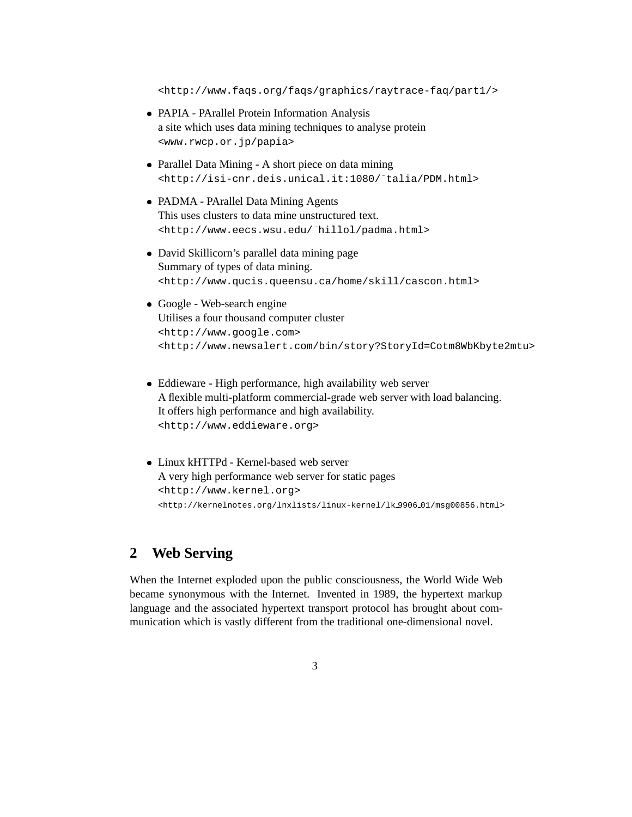<http://www.faqs.org/faqs/graphics/raytrace-faq/part1/>

- PAPIA PArallel Protein Information Analysis a site which uses data mining techniques to analyse protein <www.rwcp.or.jp/papia>
- Parallel Data Mining A short piece on data mining <http://isi-cnr.deis.unical.it:1080/~talia/PDM.html>
- PADMA PArallel Data Mining Agents This uses clusters to data mine unstructured text. <http://www.eecs.wsu.edu/~hillol/padma.html>
- David Skillicorn's parallel data mining page Summary of types of data mining. <http://www.qucis.queensu.ca/home/skill/cascon.html>
- Google Web-search engine Utilises a four thousand computer cluster <http://www.google.com> <http://www.newsalert.com/bin/story?StoryId=Cotm8WbKbyte2mtu>
- Eddieware High performance, high availability web server A flexible multi-platform commercial-grade web server with load balancing. It offers high performance and high availability. <http://www.eddieware.org>
- Linux kHTTPd Kernel-based web server A very high performance web server for static pages <http://www.kernel.org> <http://kernelnotes.org/lnxlists/linux-kernel/lk 9906 01/msg00856.html>

# **2 Web Serving**

When the Internet exploded upon the public consciousness, the World Wide Web became synonymous with the Internet. Invented in 1989, the hypertext markup language and the associated hypertext transport protocol has brought about communication which is vastly different from the traditional one-dimensional novel.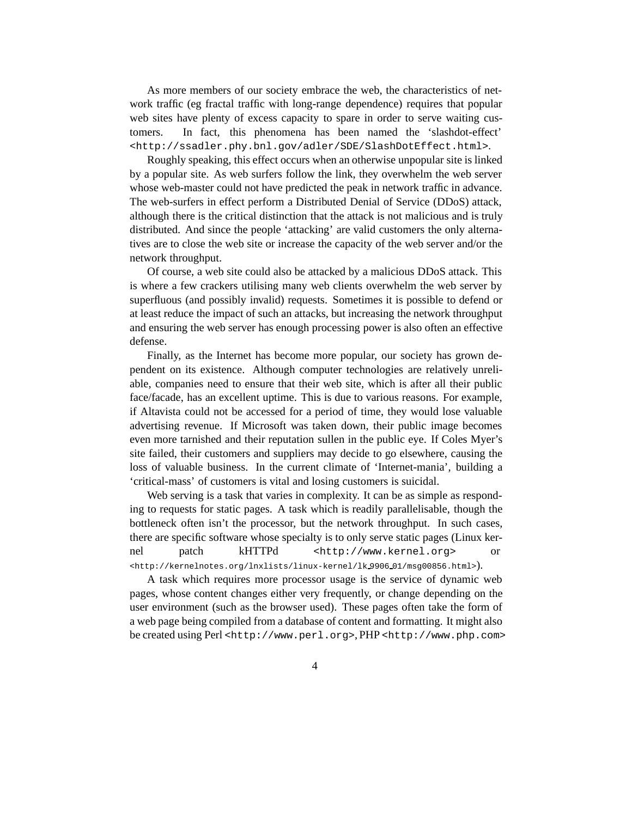As more members of our society embrace the web, the characteristics of network traffic (eg fractal traffic with long-range dependence) requires that popular web sites have plenty of excess capacity to spare in order to serve waiting customers. In fact, this phenomena has been named the 'slashdot-effect' <http://ssadler.phy.bnl.gov/adler/SDE/SlashDotEffect.html>.

Roughly speaking, this effect occurs when an otherwise unpopular site is linked by a popular site. As web surfers follow the link, they overwhelm the web server whose web-master could not have predicted the peak in network traffic in advance. The web-surfers in effect perform a Distributed Denial of Service (DDoS) attack, although there is the critical distinction that the attack is not malicious and is truly distributed. And since the people 'attacking' are valid customers the only alternatives are to close the web site or increase the capacity of the web server and/or the network throughput.

Of course, a web site could also be attacked by a malicious DDoS attack. This is where a few crackers utilising many web clients overwhelm the web server by superfluous (and possibly invalid) requests. Sometimes it is possible to defend or at least reduce the impact of such an attacks, but increasing the network throughput and ensuring the web server has enough processing power is also often an effective defense.

Finally, as the Internet has become more popular, our society has grown dependent on its existence. Although computer technologies are relatively unreliable, companies need to ensure that their web site, which is after all their public face/facade, has an excellent uptime. This is due to various reasons. For example, if Altavista could not be accessed for a period of time, they would lose valuable advertising revenue. If Microsoft was taken down, their public image becomes even more tarnished and their reputation sullen in the public eye. If Coles Myer's site failed, their customers and suppliers may decide to go elsewhere, causing the loss of valuable business. In the current climate of 'Internet-mania', building a 'critical-mass' of customers is vital and losing customers is suicidal.

Web serving is a task that varies in complexity. It can be as simple as responding to requests for static pages. A task which is readily parallelisable, though the bottleneck often isn't the processor, but the network throughput. In such cases, there are specific software whose specialty is to only serve static pages (Linux kernel patch kHTTPd <http://www.kernel.org> or <http://kernelnotes.org/lnxlists/linux-kernel/lk 9906 01/msg00856.html>).

A task which requires more processor usage is the service of dynamic web pages, whose content changes either very frequently, or change depending on the user environment (such as the browser used). These pages often take the form of a web page being compiled from a database of content and formatting. It might also be created using Perl <http://www.perl.org>, PHP <http://www.php.com>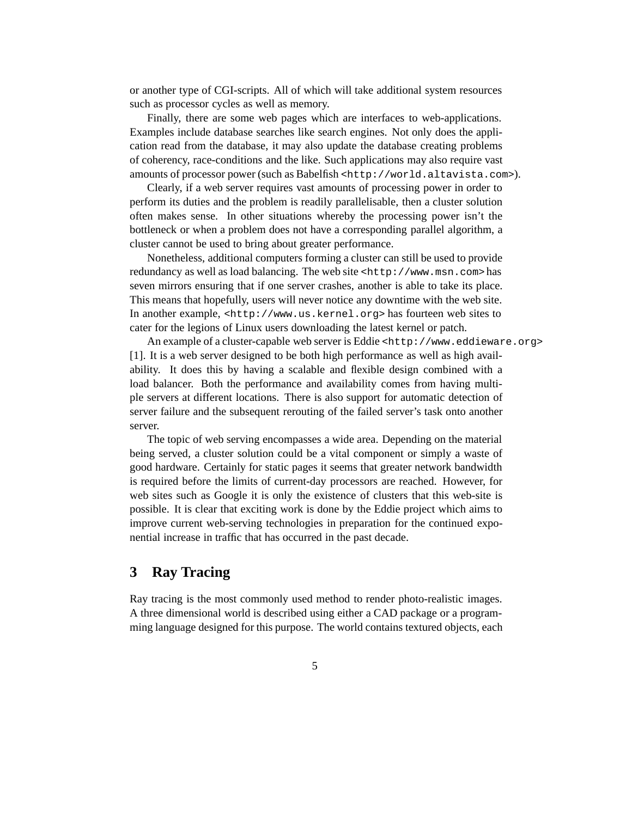or another type of CGI-scripts. All of which will take additional system resources such as processor cycles as well as memory.

Finally, there are some web pages which are interfaces to web-applications. Examples include database searches like search engines. Not only does the application read from the database, it may also update the database creating problems of coherency, race-conditions and the like. Such applications may also require vast amounts of processor power (such as Babelfish <http://world.altavista.com>).

Clearly, if a web server requires vast amounts of processing power in order to perform its duties and the problem is readily parallelisable, then a cluster solution often makes sense. In other situations whereby the processing power isn't the bottleneck or when a problem does not have a corresponding parallel algorithm, a cluster cannot be used to bring about greater performance.

Nonetheless, additional computers forming a cluster can still be used to provide redundancy as well as load balancing. The web site <http://www.msn.com> has seven mirrors ensuring that if one server crashes, another is able to take its place. This means that hopefully, users will never notice any downtime with the web site. In another example, <http://www.us.kernel.org> has fourteen web sites to cater for the legions of Linux users downloading the latest kernel or patch.

An example of a cluster-capable web server is Eddie <http://www.eddieware.org> [1]. It is a web server designed to be both high performance as well as high availability. It does this by having a scalable and flexible design combined with a load balancer. Both the performance and availability comes from having multiple servers at different locations. There is also support for automatic detection of server failure and the subsequent rerouting of the failed server's task onto another server.

The topic of web serving encompasses a wide area. Depending on the material being served, a cluster solution could be a vital component or simply a waste of good hardware. Certainly for static pages it seems that greater network bandwidth is required before the limits of current-day processors are reached. However, for web sites such as Google it is only the existence of clusters that this web-site is possible. It is clear that exciting work is done by the Eddie project which aims to improve current web-serving technologies in preparation for the continued exponential increase in traffic that has occurred in the past decade.

# **3 Ray Tracing**

Ray tracing is the most commonly used method to render photo-realistic images. A three dimensional world is described using either a CAD package or a programming language designed for this purpose. The world contains textured objects, each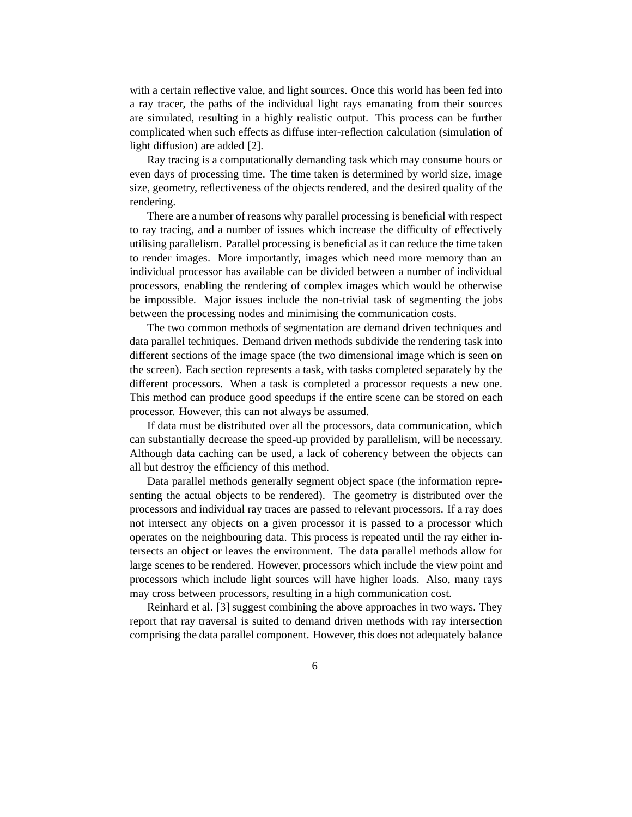with a certain reflective value, and light sources. Once this world has been fed into a ray tracer, the paths of the individual light rays emanating from their sources are simulated, resulting in a highly realistic output. This process can be further complicated when such effects as diffuse inter-reflection calculation (simulation of light diffusion) are added [2].

Ray tracing is a computationally demanding task which may consume hours or even days of processing time. The time taken is determined by world size, image size, geometry, reflectiveness of the objects rendered, and the desired quality of the rendering.

There are a number of reasons why parallel processing is beneficial with respect to ray tracing, and a number of issues which increase the difficulty of effectively utilising parallelism. Parallel processing is beneficial as it can reduce the time taken to render images. More importantly, images which need more memory than an individual processor has available can be divided between a number of individual processors, enabling the rendering of complex images which would be otherwise be impossible. Major issues include the non-trivial task of segmenting the jobs between the processing nodes and minimising the communication costs.

The two common methods of segmentation are demand driven techniques and data parallel techniques. Demand driven methods subdivide the rendering task into different sections of the image space (the two dimensional image which is seen on the screen). Each section represents a task, with tasks completed separately by the different processors. When a task is completed a processor requests a new one. This method can produce good speedups if the entire scene can be stored on each processor. However, this can not always be assumed.

If data must be distributed over all the processors, data communication, which can substantially decrease the speed-up provided by parallelism, will be necessary. Although data caching can be used, a lack of coherency between the objects can all but destroy the efficiency of this method.

Data parallel methods generally segment object space (the information representing the actual objects to be rendered). The geometry is distributed over the processors and individual ray traces are passed to relevant processors. If a ray does not intersect any objects on a given processor it is passed to a processor which operates on the neighbouring data. This process is repeated until the ray either intersects an object or leaves the environment. The data parallel methods allow for large scenes to be rendered. However, processors which include the view point and processors which include light sources will have higher loads. Also, many rays may cross between processors, resulting in a high communication cost.

Reinhard et al. [3] suggest combining the above approaches in two ways. They report that ray traversal is suited to demand driven methods with ray intersection comprising the data parallel component. However, this does not adequately balance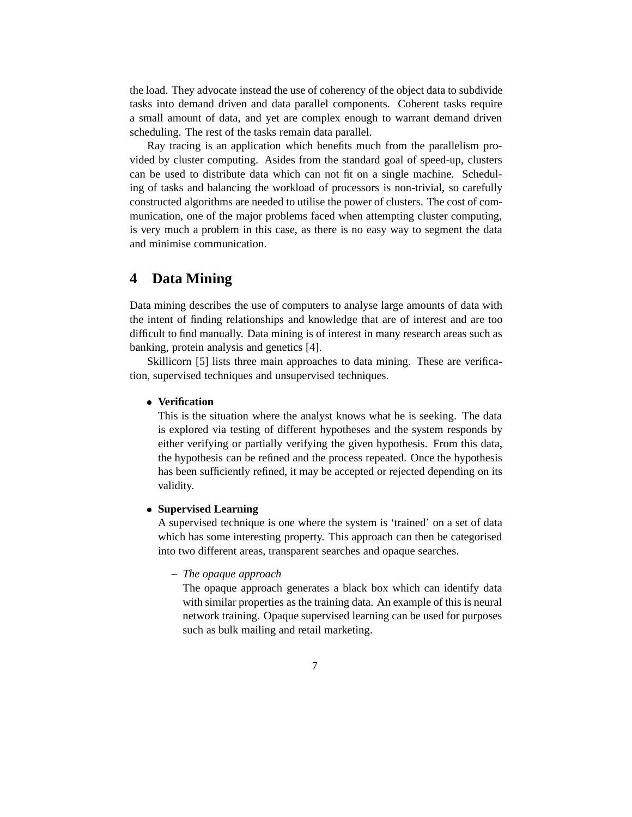the load. They advocate instead the use of coherency of the object data to subdivide tasks into demand driven and data parallel components. Coherent tasks require a small amount of data, and yet are complex enough to warrant demand driven scheduling. The rest of the tasks remain data parallel.

Ray tracing is an application which benefits much from the parallelism provided by cluster computing. Asides from the standard goal of speed-up, clusters can be used to distribute data which can not fit on a single machine. Scheduling of tasks and balancing the workload of processors is non-trivial, so carefully constructed algorithms are needed to utilise the power of clusters. The cost of communication, one of the major problems faced when attempting cluster computing, is very much a problem in this case, as there is no easy way to segment the data and minimise communication.

## **4 Data Mining**

Data mining describes the use of computers to analyse large amounts of data with the intent of finding relationships and knowledge that are of interest and are too difficult to find manually. Data mining is of interest in many research areas such as banking, protein analysis and genetics [4].

Skillicorn [5] lists three main approaches to data mining. These are verification, supervised techniques and unsupervised techniques.

#### **Verification**

This is the situation where the analyst knows what he is seeking. The data is explored via testing of different hypotheses and the system responds by either verifying or partially verifying the given hypothesis. From this data, the hypothesis can be refined and the process repeated. Once the hypothesis has been sufficiently refined, it may be accepted or rejected depending on its validity.

#### **Supervised Learning**

A supervised technique is one where the system is 'trained' on a set of data which has some interesting property. This approach can then be categorised into two different areas, transparent searches and opaque searches.

#### **–** *The opaque approach*

The opaque approach generates a black box which can identify data with similar properties as the training data. An example of this is neural network training. Opaque supervised learning can be used for purposes such as bulk mailing and retail marketing.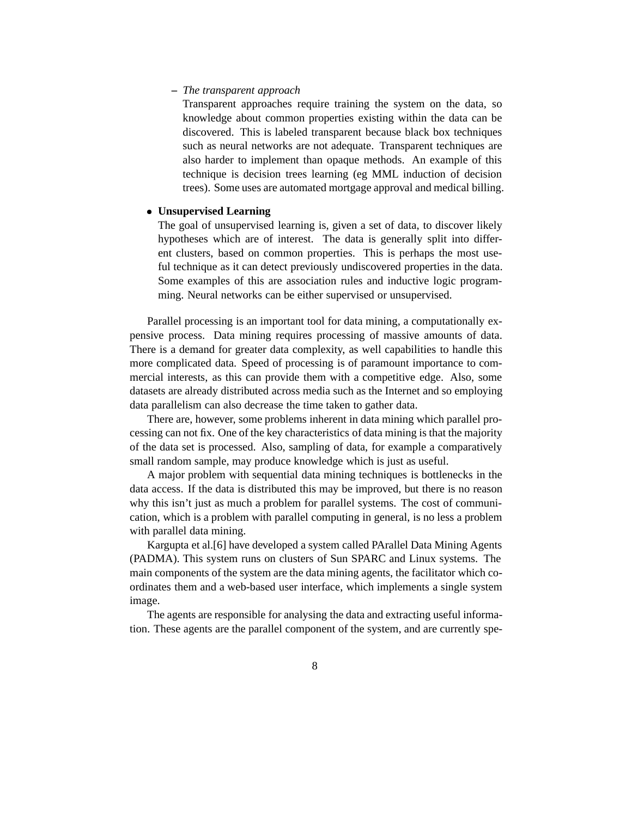#### **–** *The transparent approach*

Transparent approaches require training the system on the data, so knowledge about common properties existing within the data can be discovered. This is labeled transparent because black box techniques such as neural networks are not adequate. Transparent techniques are also harder to implement than opaque methods. An example of this technique is decision trees learning (eg MML induction of decision trees). Some uses are automated mortgage approval and medical billing.

#### **Unsupervised Learning**

The goal of unsupervised learning is, given a set of data, to discover likely hypotheses which are of interest. The data is generally split into different clusters, based on common properties. This is perhaps the most useful technique as it can detect previously undiscovered properties in the data. Some examples of this are association rules and inductive logic programming. Neural networks can be either supervised or unsupervised.

Parallel processing is an important tool for data mining, a computationally expensive process. Data mining requires processing of massive amounts of data. There is a demand for greater data complexity, as well capabilities to handle this more complicated data. Speed of processing is of paramount importance to commercial interests, as this can provide them with a competitive edge. Also, some datasets are already distributed across media such as the Internet and so employing data parallelism can also decrease the time taken to gather data.

There are, however, some problems inherent in data mining which parallel processing can not fix. One of the key characteristics of data mining is that the majority of the data set is processed. Also, sampling of data, for example a comparatively small random sample, may produce knowledge which is just as useful.

A major problem with sequential data mining techniques is bottlenecks in the data access. If the data is distributed this may be improved, but there is no reason why this isn't just as much a problem for parallel systems. The cost of communication, which is a problem with parallel computing in general, is no less a problem with parallel data mining.

Kargupta et al.[6] have developed a system called PArallel Data Mining Agents (PADMA). This system runs on clusters of Sun SPARC and Linux systems. The main components of the system are the data mining agents, the facilitator which coordinates them and a web-based user interface, which implements a single system image.

The agents are responsible for analysing the data and extracting useful information. These agents are the parallel component of the system, and are currently spe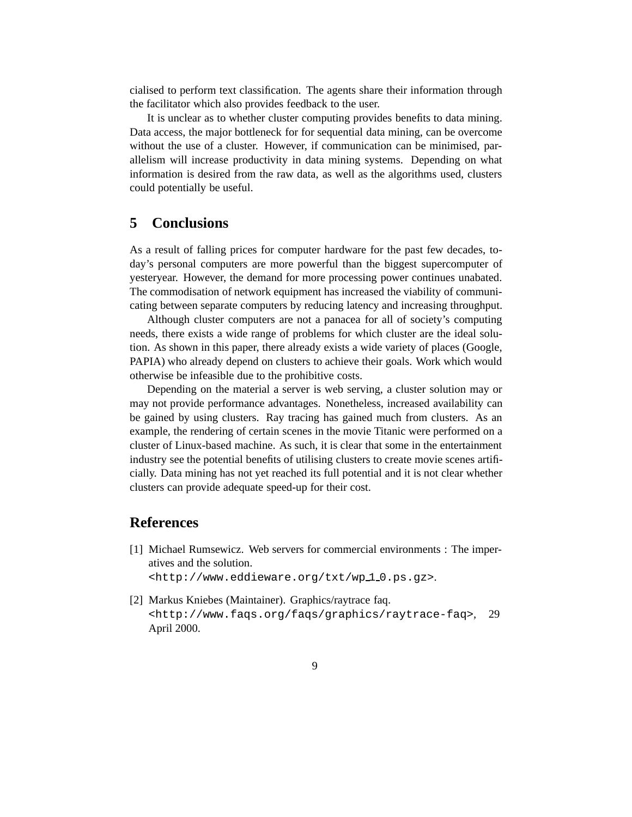cialised to perform text classification. The agents share their information through the facilitator which also provides feedback to the user.

It is unclear as to whether cluster computing provides benefits to data mining. Data access, the major bottleneck for for sequential data mining, can be overcome without the use of a cluster. However, if communication can be minimised, parallelism will increase productivity in data mining systems. Depending on what information is desired from the raw data, as well as the algorithms used, clusters could potentially be useful.

# **5 Conclusions**

As a result of falling prices for computer hardware for the past few decades, today's personal computers are more powerful than the biggest supercomputer of yesteryear. However, the demand for more processing power continues unabated. The commodisation of network equipment has increased the viability of communicating between separate computers by reducing latency and increasing throughput.

Although cluster computers are not a panacea for all of society's computing needs, there exists a wide range of problems for which cluster are the ideal solution. As shown in this paper, there already exists a wide variety of places (Google, PAPIA) who already depend on clusters to achieve their goals. Work which would otherwise be infeasible due to the prohibitive costs.

Depending on the material a server is web serving, a cluster solution may or may not provide performance advantages. Nonetheless, increased availability can be gained by using clusters. Ray tracing has gained much from clusters. As an example, the rendering of certain scenes in the movie Titanic were performed on a cluster of Linux-based machine. As such, it is clear that some in the entertainment industry see the potential benefits of utilising clusters to create movie scenes artificially. Data mining has not yet reached its full potential and it is not clear whether clusters can provide adequate speed-up for their cost.

### **References**

[1] Michael Rumsewicz. Web servers for commercial environments : The imperatives and the solution.

<http://www.eddieware.org/txt/wp10.ps.gz>.

[2] Markus Kniebes (Maintainer). Graphics/raytrace faq. <http://www.faqs.org/faqs/graphics/raytrace-faq>, 29 April 2000.